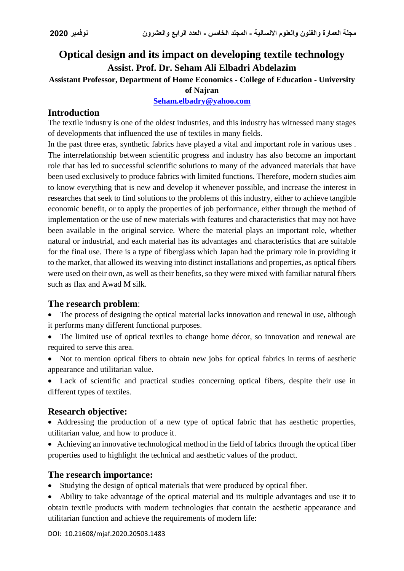# **Optical design and its impact on developing textile technology Assist. Prof. Dr. Seham Ali Elbadri Abdelazim**

**Assistant Professor, Department of Home Economics - College of Education - University** 

#### **of Najran**

**[Seham.elbadry@yahoo.com](mailto:Seham.elbadry@yahoo.com)**

# **Introduction**

The textile industry is one of the oldest industries, and this industry has witnessed many stages of developments that influenced the use of textiles in many fields.

In the past three eras, synthetic fabrics have played a vital and important role in various uses . The interrelationship between scientific progress and industry has also become an important role that has led to successful scientific solutions to many of the advanced materials that have been used exclusively to produce fabrics with limited functions. Therefore, modern studies aim to know everything that is new and develop it whenever possible, and increase the interest in researches that seek to find solutions to the problems of this industry, either to achieve tangible economic benefit, or to apply the properties of job performance, either through the method of implementation or the use of new materials with features and characteristics that may not have been available in the original service. Where the material plays an important role, whether natural or industrial, and each material has its advantages and characteristics that are suitable for the final use. There is a type of fiberglass which Japan had the primary role in providing it to the market, that allowed its weaving into distinct installations and properties, as optical fibers were used on their own, as well as their benefits, so they were mixed with familiar natural fibers such as flax and Awad M silk.

### **The research problem**:

- The process of designing the optical material lacks innovation and renewal in use, although it performs many different functional purposes.
- The limited use of optical textiles to change home décor, so innovation and renewal are required to serve this area.
- Not to mention optical fibers to obtain new jobs for optical fabrics in terms of aesthetic appearance and utilitarian value.
- Lack of scientific and practical studies concerning optical fibers, despite their use in different types of textiles.

# **Research objective:**

- Addressing the production of a new type of optical fabric that has aesthetic properties, utilitarian value, and how to produce it.
- Achieving an innovative technological method in the field of fabrics through the optical fiber properties used to highlight the technical and aesthetic values of the product.

### **The research importance:**

- Studying the design of optical materials that were produced by optical fiber.
- Ability to take advantage of the optical material and its multiple advantages and use it to obtain textile products with modern technologies that contain the aesthetic appearance and utilitarian function and achieve the requirements of modern life: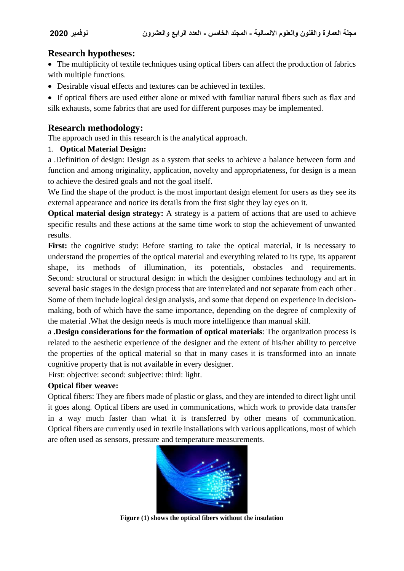### **Research hypotheses:**

• The multiplicity of textile techniques using optical fibers can affect the production of fabrics with multiple functions.

Desirable visual effects and textures can be achieved in textiles.

 If optical fibers are used either alone or mixed with familiar natural fibers such as flax and silk exhausts, some fabrics that are used for different purposes may be implemented.

# **Research methodology:**

The approach used in this research is the analytical approach.

#### 1. **Optical Material Design:**

a .Definition of design: Design as a system that seeks to achieve a balance between form and function and among originality, application, novelty and appropriateness, for design is a mean to achieve the desired goals and not the goal itself.

We find the shape of the product is the most important design element for users as they see its external appearance and notice its details from the first sight they lay eyes on it.

**Optical material design strategy:** A strategy is a pattern of actions that are used to achieve specific results and these actions at the same time work to stop the achievement of unwanted results.

First: the cognitive study: Before starting to take the optical material, it is necessary to understand the properties of the optical material and everything related to its type, its apparent shape, its methods of illumination, its potentials, obstacles and requirements. Second: structural or structural design: in which the designer combines technology and art in several basic stages in the design process that are interrelated and not separate from each other . Some of them include logical design analysis, and some that depend on experience in decisionmaking, both of which have the same importance, depending on the degree of complexity of the material .What the design needs is much more intelligence than manual skill.

a **.Design considerations for the formation of optical materials**: The organization process is related to the aesthetic experience of the designer and the extent of his/her ability to perceive the properties of the optical material so that in many cases it is transformed into an innate cognitive property that is not available in every designer.

First: objective: second: subjective: third: light.

### **Optical fiber weave:**

Optical fibers: They are fibers made of plastic or glass, and they are intended to direct light until it goes along. Optical fibers are used in communications, which work to provide data transfer in a way much faster than what it is transferred by other means of communication. Optical fibers are currently used in textile installations with various applications, most of which are often used as sensors, pressure and temperature measurements.



**Figure (1) shows the optical fibers without the insulation**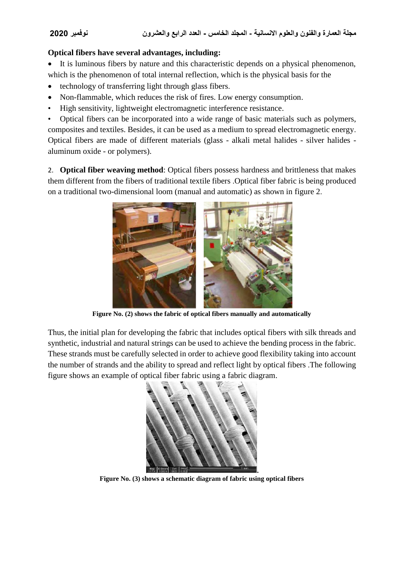#### **Optical fibers have several advantages, including:**

 It is luminous fibers by nature and this characteristic depends on a physical phenomenon, which is the phenomenon of total internal reflection, which is the physical basis for the

- technology of transferring light through glass fibers.
- Non-flammable, which reduces the risk of fires. Low energy consumption.
- High sensitivity, lightweight electromagnetic interference resistance.

• Optical fibers can be incorporated into a wide range of basic materials such as polymers, composites and textiles. Besides, it can be used as a medium to spread electromagnetic energy. Optical fibers are made of different materials (glass - alkali metal halides - silver halides aluminum oxide - or polymers).

2. **Optical fiber weaving method**: Optical fibers possess hardness and brittleness that makes them different from the fibers of traditional textile fibers .Optical fiber fabric is being produced on a traditional two-dimensional loom (manual and automatic) as shown in figure 2.



**Figure No. (2) shows the fabric of optical fibers manually and automatically**

Thus, the initial plan for developing the fabric that includes optical fibers with silk threads and synthetic, industrial and natural strings can be used to achieve the bending process in the fabric. These strands must be carefully selected in order to achieve good flexibility taking into account the number of strands and the ability to spread and reflect light by optical fibers .The following figure shows an example of optical fiber fabric using a fabric diagram.



**Figure No. (3) shows a schematic diagram of fabric using optical fibers**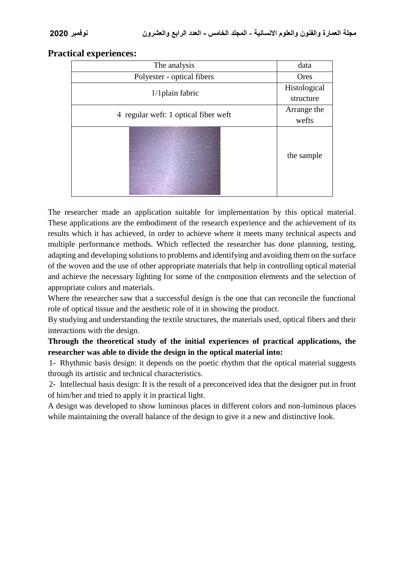#### **Practical experiences:**

| The analysis                                                                                                                                                                                                                                                                                                                                                                                                                                                                                                                                                                                                                                                                                                                                                                                                                                                                                                                                                                                                                                                                                | data         |
|---------------------------------------------------------------------------------------------------------------------------------------------------------------------------------------------------------------------------------------------------------------------------------------------------------------------------------------------------------------------------------------------------------------------------------------------------------------------------------------------------------------------------------------------------------------------------------------------------------------------------------------------------------------------------------------------------------------------------------------------------------------------------------------------------------------------------------------------------------------------------------------------------------------------------------------------------------------------------------------------------------------------------------------------------------------------------------------------|--------------|
| Polyester - optical fibers                                                                                                                                                                                                                                                                                                                                                                                                                                                                                                                                                                                                                                                                                                                                                                                                                                                                                                                                                                                                                                                                  | Ores         |
| $1/1$ plain fabric                                                                                                                                                                                                                                                                                                                                                                                                                                                                                                                                                                                                                                                                                                                                                                                                                                                                                                                                                                                                                                                                          | Histological |
|                                                                                                                                                                                                                                                                                                                                                                                                                                                                                                                                                                                                                                                                                                                                                                                                                                                                                                                                                                                                                                                                                             | structure    |
| 4 regular weft: 1 optical fiber weft                                                                                                                                                                                                                                                                                                                                                                                                                                                                                                                                                                                                                                                                                                                                                                                                                                                                                                                                                                                                                                                        | Arrange the  |
|                                                                                                                                                                                                                                                                                                                                                                                                                                                                                                                                                                                                                                                                                                                                                                                                                                                                                                                                                                                                                                                                                             | wefts        |
| and the company of the company of the company of<br>$\frac{1}{2}$ , $\frac{1}{2}$ , $\frac{1}{2}$ , $\frac{1}{2}$ , $\frac{1}{2}$ , $\frac{1}{2}$ , $\frac{1}{2}$ , $\frac{1}{2}$ , $\frac{1}{2}$ , $\frac{1}{2}$<br>a presti presenza con el el con a concello i accomo el con-<br>and in the P. A.C. of the Law H. Street, and the contract of the company<br>the country of the Management of California and the country of the country of<br>and and a reputation problem that the contract of a second<br>and the state of the state of the state of the state of the state of the state of the state of the state of the<br>the party materials of the control and the<br>and the plane and the problem and in the problem with<br>a de la constitución de la constitución de la constitución de la constitución de la constitución de la constitución de la constitución de la constitución de la constitución de la constitución de la constitución de la const<br>and the company of the company of the company of the company of the company of the company of the company of the | the sample   |

The researcher made an application suitable for implementation by this optical material. These applications are the embodiment of the research experience and the achievement of its results which it has achieved, in order to achieve where it meets many technical aspects and multiple performance methods. Which reflected the researcher has done planning, testing, adapting and developing solutions to problems and identifying and avoiding them on the surface of the woven and the use of other appropriate materials that help in controlling optical material and achieve the necessary lighting for some of the composition elements and the selection of appropriate colors and materials.

Where the researcher saw that a successful design is the one that can reconcile the functional role of optical tissue and the aesthetic role of it in showing the product.

By studying and understanding the textile structures, the materials used, optical fibers and their interactions with the design.

**Through the theoretical study of the initial experiences of practical applications, the researcher was able to divide the design in the optical material into:**

1- Rhythmic basis design: it depends on the poetic rhythm that the optical material suggests through its artistic and technical characteristics.

2- Intellectual basis design: It is the result of a preconceived idea that the designer put in front of him/her and tried to apply it in practical light.

A design was developed to show luminous places in different colors and non-luminous places while maintaining the overall balance of the design to give it a new and distinctive look.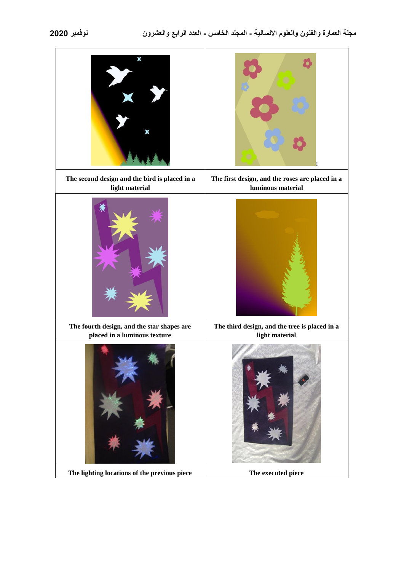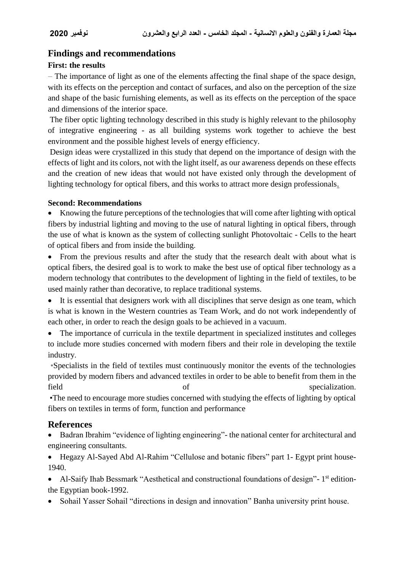# **Findings and recommendations**

#### **First: the results**

 The importance of light as one of the elements affecting the final shape of the space design, with its effects on the perception and contact of surfaces, and also on the perception of the size and shape of the basic furnishing elements, as well as its effects on the perception of the space and dimensions of the interior space.

The fiber optic lighting technology described in this study is highly relevant to the philosophy of integrative engineering - as all building systems work together to achieve the best environment and the possible highest levels of energy efficiency.

Design ideas were crystallized in this study that depend on the importance of design with the effects of light and its colors, not with the light itself, as our awareness depends on these effects and the creation of new ideas that would not have existed only through the development of lighting technology for optical fibers, and this works to attract more design professionals.

#### **Second: Recommendations**

 Knowing the future perceptions of the technologies that will come after lighting with optical fibers by industrial lighting and moving to the use of natural lighting in optical fibers, through the use of what is known as the system of collecting sunlight Photovoltaic - Cells to the heart of optical fibers and from inside the building.

 From the previous results and after the study that the research dealt with about what is optical fibers, the desired goal is to work to make the best use of optical fiber technology as a modern technology that contributes to the development of lighting in the field of textiles, to be used mainly rather than decorative, to replace traditional systems.

 It is essential that designers work with all disciplines that serve design as one team, which is what is known in the Western countries as Team Work, and do not work independently of each other, in order to reach the design goals to be achieved in a vacuum.

 The importance of curricula in the textile department in specialized institutes and colleges to include more studies concerned with modern fibers and their role in developing the textile industry.

 •Specialists in the field of textiles must continuously monitor the events of the technologies provided by modern fibers and advanced textiles in order to be able to benefit from them in the field of specialization.

 •The need to encourage more studies concerned with studying the effects of lighting by optical fibers on textiles in terms of form, function and performance

### **References**

• Badran Ibrahim "evidence of lighting engineering" - the national center for architectural and engineering consultants.

 Hegazy Al-Sayed Abd Al-Rahim "Cellulose and botanic fibers" part 1- Egypt print house-1940.

• Al-Saify Ihab Bessmark "Aesthetical and constructional foundations of design"- 1<sup>st</sup> editionthe Egyptian book-1992.

Sohail Yasser Sohail "directions in design and innovation" Banha university print house.